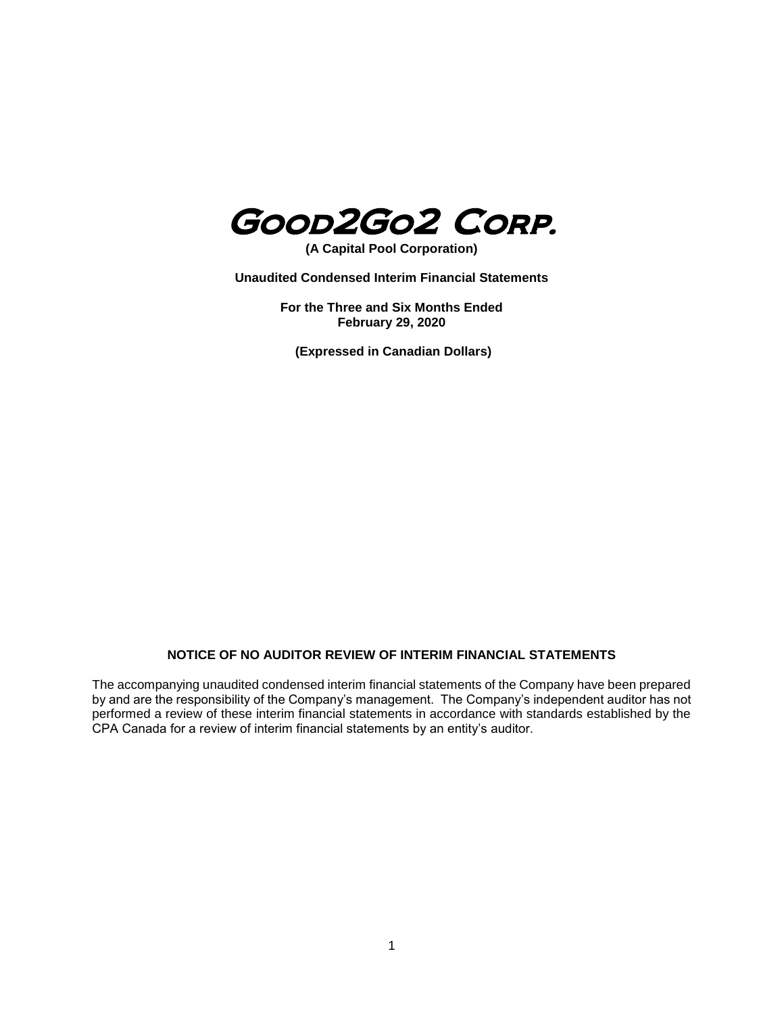

**(A Capital Pool Corporation)**

**Unaudited Condensed Interim Financial Statements**

**For the Three and Six Months Ended February 29, 2020**

**(Expressed in Canadian Dollars)**

# **NOTICE OF NO AUDITOR REVIEW OF INTERIM FINANCIAL STATEMENTS**

The accompanying unaudited condensed interim financial statements of the Company have been prepared by and are the responsibility of the Company's management. The Company's independent auditor has not performed a review of these interim financial statements in accordance with standards established by the CPA Canada for a review of interim financial statements by an entity's auditor.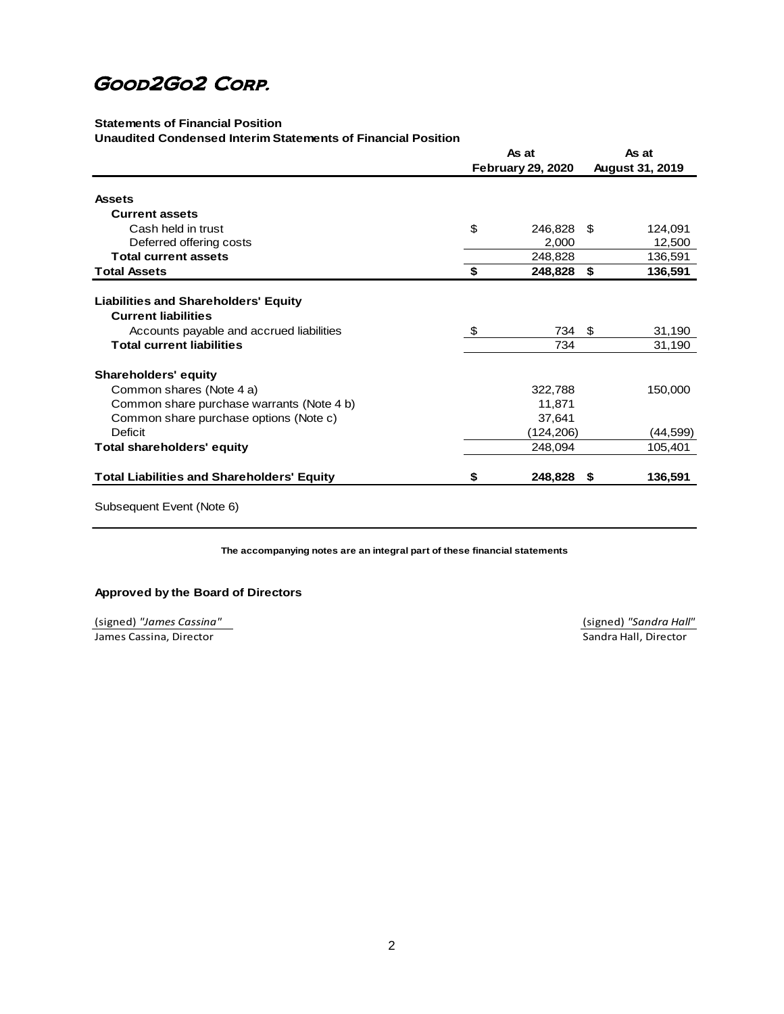# **Statements of Financial Position**

**Unaudited Condensed Interim Statements of Financial Position**

|                                                   | As at |                          | As at |                        |
|---------------------------------------------------|-------|--------------------------|-------|------------------------|
|                                                   |       | <b>February 29, 2020</b> |       | <b>August 31, 2019</b> |
| <b>Assets</b>                                     |       |                          |       |                        |
| <b>Current assets</b>                             |       |                          |       |                        |
| Cash held in trust                                | \$    | 246,828                  | S     | 124,091                |
| Deferred offering costs                           |       | 2,000                    |       | 12,500                 |
| <b>Total current assets</b>                       |       | 248,828                  |       | 136,591                |
| <b>Total Assets</b>                               | \$    | 248,828                  | \$    | 136,591                |
|                                                   |       |                          |       |                        |
| <b>Liabilities and Shareholders' Equity</b>       |       |                          |       |                        |
| <b>Current liabilities</b>                        |       |                          |       |                        |
| Accounts payable and accrued liabilities          | \$    | 734                      | -\$   | 31,190                 |
| <b>Total current liabilities</b>                  |       | 734                      |       | 31,190                 |
| <b>Shareholders' equity</b>                       |       |                          |       |                        |
| Common shares (Note 4 a)                          |       | 322,788                  |       | 150,000                |
| Common share purchase warrants (Note 4 b)         |       | 11,871                   |       |                        |
| Common share purchase options (Note c)            |       | 37,641                   |       |                        |
| <b>Deficit</b>                                    |       | (124,206)                |       | (44,599)               |
| <b>Total shareholders' equity</b>                 |       | 248,094                  |       | 105,401                |
| <b>Total Liabilities and Shareholders' Equity</b> | \$    | 248,828 \$               |       | 136,591                |
| Subsequent Event (Note 6)                         |       |                          |       |                        |

**The accompanying notes are an integral part of these financial statements**

## **Approved by the Board of Directors**

(signed) *"James Cassina"* (signed) *"Sandra Hall"* **James Cassina, Director Cassina, Director Cassina, Director Sandra Hall, Director Sandra Hall**, Director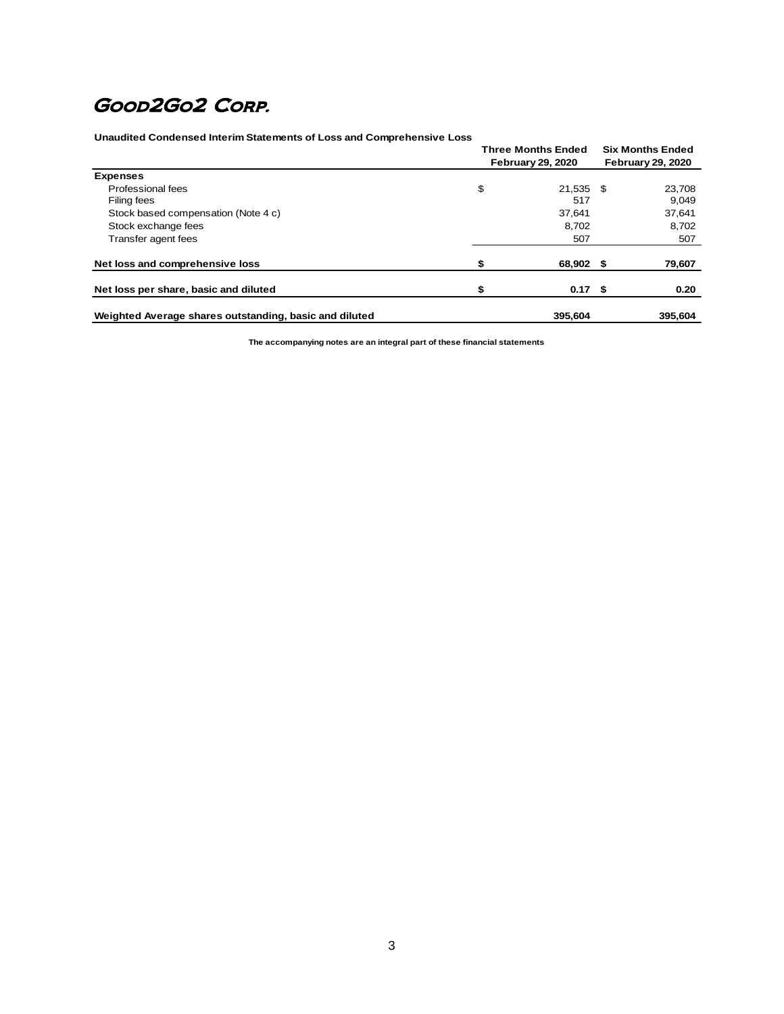**Unaudited Condensed Interim Statements of Loss and Comprehensive Loss**

|                                                        | <b>Three Months Ended</b><br><b>February 29, 2020</b> |                   |  | <b>Six Months Ended</b><br><b>February 29, 2020</b> |  |
|--------------------------------------------------------|-------------------------------------------------------|-------------------|--|-----------------------------------------------------|--|
|                                                        |                                                       |                   |  |                                                     |  |
| <b>Expenses</b>                                        |                                                       |                   |  |                                                     |  |
| Professional fees                                      | \$                                                    | 21,535 \$         |  | 23,708                                              |  |
| Filing fees                                            |                                                       | 517               |  | 9,049                                               |  |
| Stock based compensation (Note 4 c)                    |                                                       | 37.641            |  | 37,641                                              |  |
| Stock exchange fees                                    |                                                       | 8.702             |  | 8,702                                               |  |
| Transfer agent fees                                    |                                                       | 507               |  | 507                                                 |  |
| Net loss and comprehensive loss                        |                                                       | 68,902 \$         |  | 79,607                                              |  |
| Net loss per share, basic and diluted                  |                                                       | 0.17 <sup>5</sup> |  | 0.20                                                |  |
| Weighted Average shares outstanding, basic and diluted |                                                       | 395.604           |  | 395.604                                             |  |

**The accompanying notes are an integral part of these financial statements**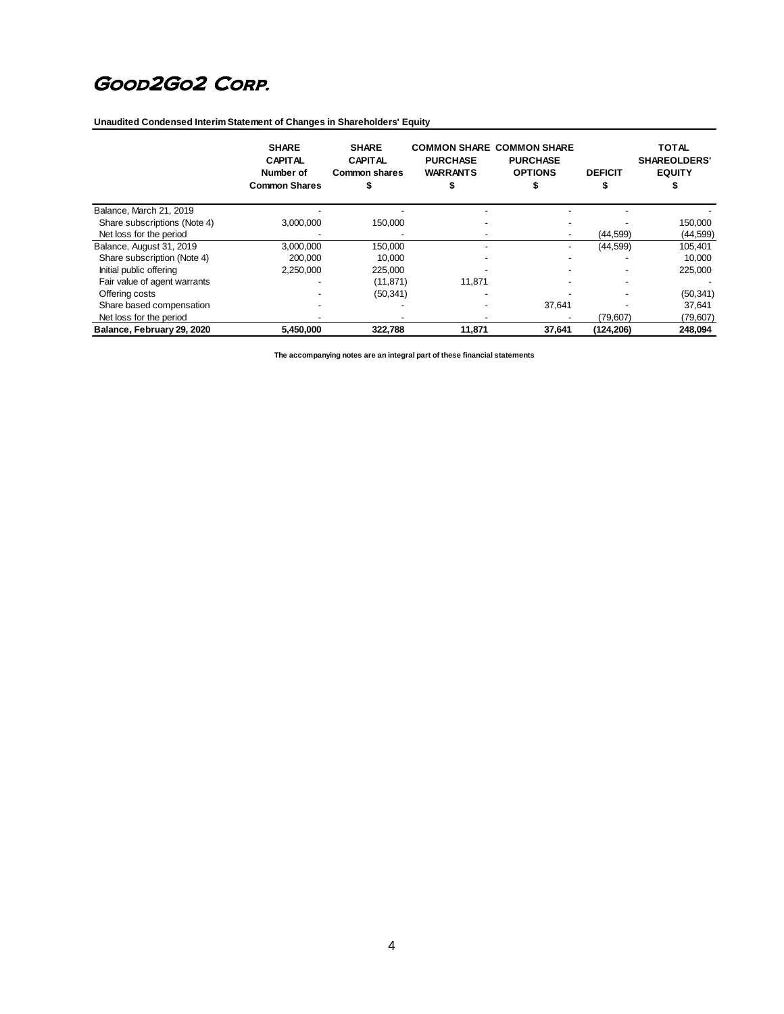**Unaudited Condensed Interim Statement of Changes in Shareholders' Equity** 

|                              | <b>SHARE</b><br><b>CAPITAL</b><br>Number of<br><b>Common Shares</b> | <b>SHARE</b><br><b>CAPITAL</b><br>Common shares | <b>PURCHASE</b><br><b>WARRANTS</b> | <b>COMMON SHARE COMMON SHARE</b><br><b>PURCHASE</b><br><b>OPTIONS</b> | <b>DEFICIT</b> | <b>TOTAL</b><br><b>SHAREOLDERS'</b><br><b>EQUITY</b> |
|------------------------------|---------------------------------------------------------------------|-------------------------------------------------|------------------------------------|-----------------------------------------------------------------------|----------------|------------------------------------------------------|
| Balance, March 21, 2019      |                                                                     |                                                 |                                    |                                                                       |                |                                                      |
| Share subscriptions (Note 4) | 3.000.000                                                           | 150.000                                         |                                    |                                                                       |                | 150,000                                              |
| Net loss for the period      |                                                                     |                                                 |                                    |                                                                       | (44, 599)      | (44, 599)                                            |
| Balance, August 31, 2019     | 3,000,000                                                           | 150,000                                         |                                    |                                                                       | (44, 599)      | 105,401                                              |
| Share subscription (Note 4)  | 200.000                                                             | 10.000                                          |                                    |                                                                       |                | 10,000                                               |
| Initial public offering      | 2.250.000                                                           | 225,000                                         |                                    |                                                                       |                | 225,000                                              |
| Fair value of agent warrants |                                                                     | (11, 871)                                       | 11.871                             |                                                                       |                |                                                      |
| Offering costs               |                                                                     | (50, 341)                                       |                                    |                                                                       |                | (50, 341)                                            |
| Share based compensation     |                                                                     |                                                 |                                    | 37,641                                                                |                | 37,641                                               |
| Net loss for the period      |                                                                     |                                                 |                                    |                                                                       | (79,607)       | (79, 607)                                            |
| Balance, February 29, 2020   | 5,450,000                                                           | 322,788                                         | 11,871                             | 37,641                                                                | (124, 206)     | 248,094                                              |

**The accompanying notes are an integral part of these financial statements**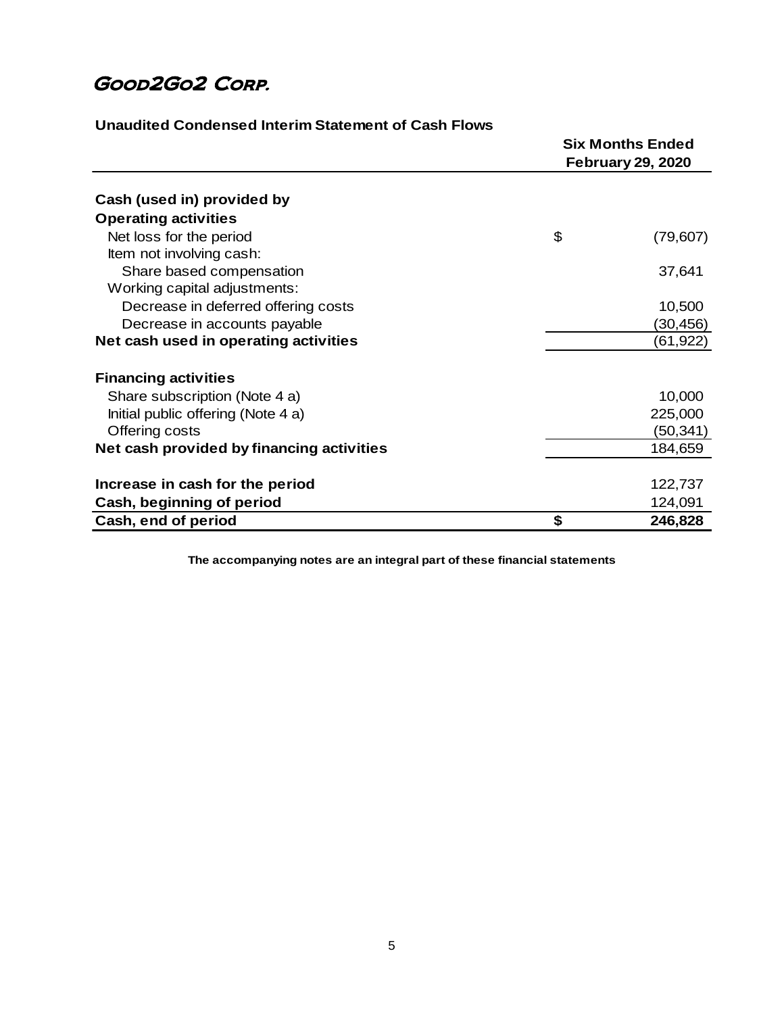|                                           | <b>Six Months Ended</b><br><b>February 29, 2020</b> |  |
|-------------------------------------------|-----------------------------------------------------|--|
| Cash (used in) provided by                |                                                     |  |
| <b>Operating activities</b>               |                                                     |  |
| Net loss for the period                   | \$<br>(79, 607)                                     |  |
| Item not involving cash:                  |                                                     |  |
| Share based compensation                  | 37,641                                              |  |
| Working capital adjustments:              |                                                     |  |
| Decrease in deferred offering costs       | 10,500                                              |  |
| Decrease in accounts payable              | (30,456)                                            |  |
| Net cash used in operating activities     | (61, 922)                                           |  |
| <b>Financing activities</b>               |                                                     |  |
| Share subscription (Note 4 a)             | 10,000                                              |  |
| Initial public offering (Note 4 a)        | 225,000                                             |  |
| Offering costs                            | (50,341)                                            |  |
| Net cash provided by financing activities | 184,659                                             |  |
|                                           |                                                     |  |
| Increase in cash for the period           | 122,737                                             |  |
| Cash, beginning of period                 | 124,091                                             |  |
| Cash, end of period                       | \$<br>246,828                                       |  |

**Unaudited Condensed Interim Statement of Cash Flows**

**The accompanying notes are an integral part of these financial statements**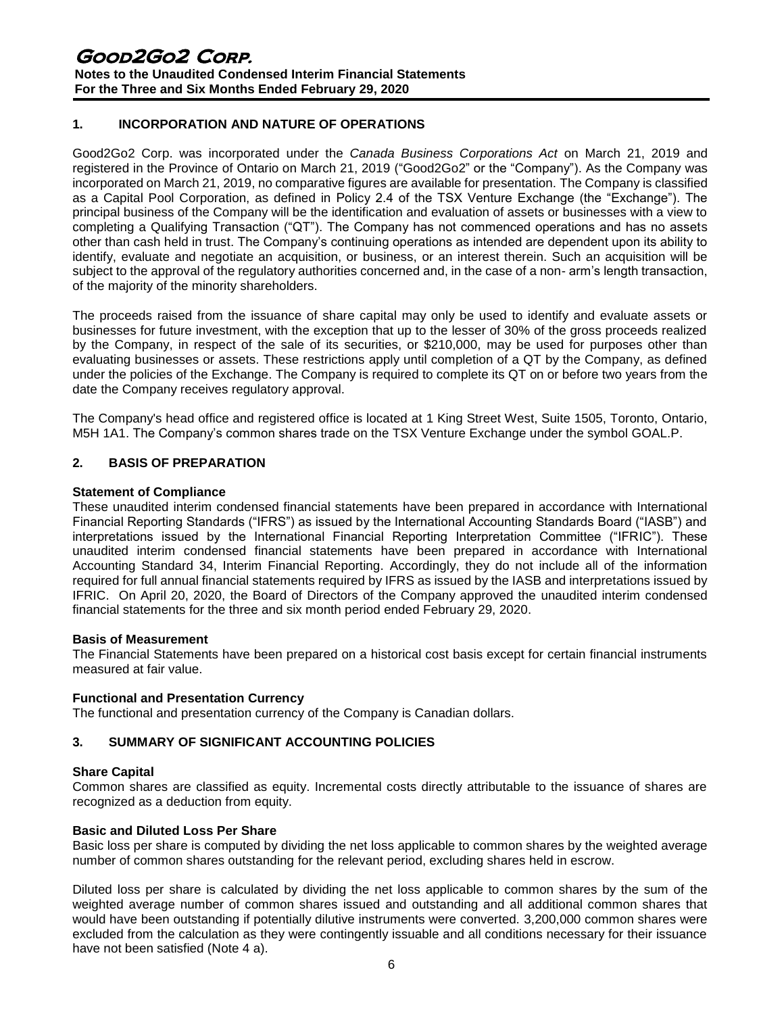# **1. INCORPORATION AND NATURE OF OPERATIONS**

Good2Go2 Corp. was incorporated under the *Canada Business Corporations Act* on March 21, 2019 and registered in the Province of Ontario on March 21, 2019 ("Good2Go2" or the "Company"). As the Company was incorporated on March 21, 2019, no comparative figures are available for presentation. The Company is classified as a Capital Pool Corporation, as defined in Policy 2.4 of the TSX Venture Exchange (the "Exchange"). The principal business of the Company will be the identification and evaluation of assets or businesses with a view to completing a Qualifying Transaction ("QT"). The Company has not commenced operations and has no assets other than cash held in trust. The Company's continuing operations as intended are dependent upon its ability to identify, evaluate and negotiate an acquisition, or business, or an interest therein. Such an acquisition will be subject to the approval of the regulatory authorities concerned and, in the case of a non- arm's length transaction, of the majority of the minority shareholders.

The proceeds raised from the issuance of share capital may only be used to identify and evaluate assets or businesses for future investment, with the exception that up to the lesser of 30% of the gross proceeds realized by the Company, in respect of the sale of its securities, or \$210,000, may be used for purposes other than evaluating businesses or assets. These restrictions apply until completion of a QT by the Company, as defined under the policies of the Exchange. The Company is required to complete its QT on or before two years from the date the Company receives regulatory approval.

The Company's head office and registered office is located at 1 King Street West, Suite 1505, Toronto, Ontario, M5H 1A1. The Company's common shares trade on the TSX Venture Exchange under the symbol GOAL.P.

## **2. BASIS OF PREPARATION**

#### **Statement of Compliance**

These unaudited interim condensed financial statements have been prepared in accordance with International Financial Reporting Standards ("IFRS") as issued by the International Accounting Standards Board ("IASB") and interpretations issued by the International Financial Reporting Interpretation Committee ("IFRIC"). These unaudited interim condensed financial statements have been prepared in accordance with International Accounting Standard 34, Interim Financial Reporting. Accordingly, they do not include all of the information required for full annual financial statements required by IFRS as issued by the IASB and interpretations issued by IFRIC. On April 20, 2020, the Board of Directors of the Company approved the unaudited interim condensed financial statements for the three and six month period ended February 29, 2020.

#### **Basis of Measurement**

The Financial Statements have been prepared on a historical cost basis except for certain financial instruments measured at fair value.

#### **Functional and Presentation Currency**

The functional and presentation currency of the Company is Canadian dollars.

#### **3. SUMMARY OF SIGNIFICANT ACCOUNTING POLICIES**

#### **Share Capital**

Common shares are classified as equity. Incremental costs directly attributable to the issuance of shares are recognized as a deduction from equity.

#### **Basic and Diluted Loss Per Share**

Basic loss per share is computed by dividing the net loss applicable to common shares by the weighted average number of common shares outstanding for the relevant period, excluding shares held in escrow.

Diluted loss per share is calculated by dividing the net loss applicable to common shares by the sum of the weighted average number of common shares issued and outstanding and all additional common shares that would have been outstanding if potentially dilutive instruments were converted. 3,200,000 common shares were excluded from the calculation as they were contingently issuable and all conditions necessary for their issuance have not been satisfied (Note 4 a).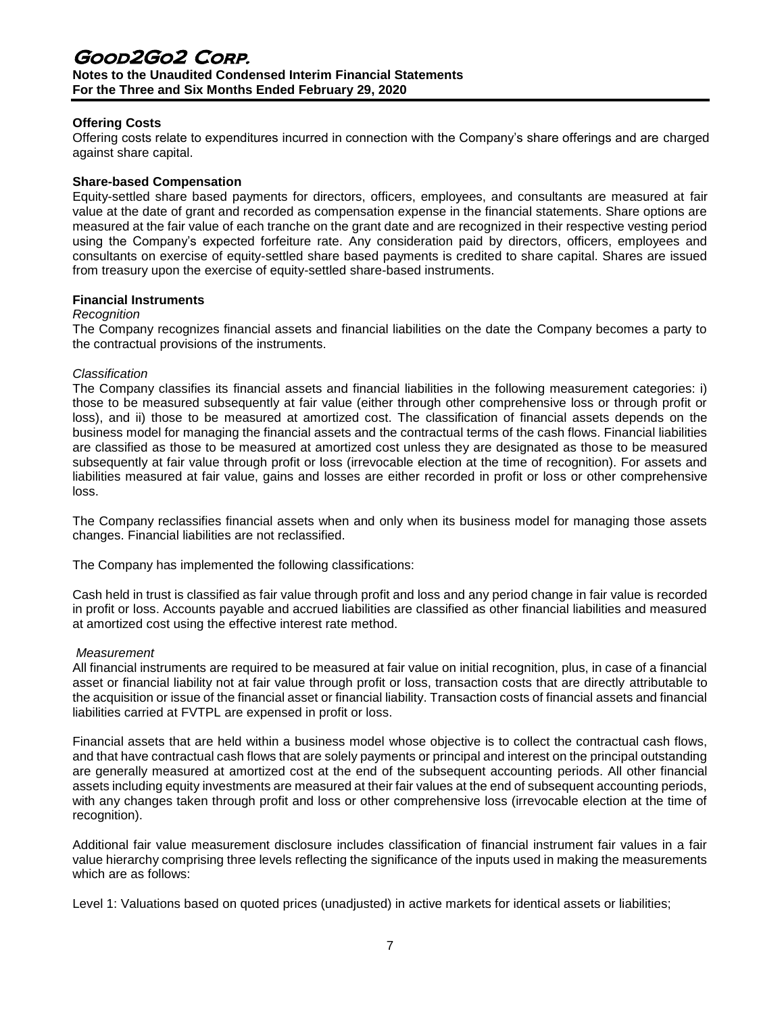# Good2Go2 Corp. **Notes to the Unaudited Condensed Interim Financial Statements For the Three and Six Months Ended February 29, 2020**

## **Offering Costs**

Offering costs relate to expenditures incurred in connection with the Company's share offerings and are charged against share capital.

#### **Share-based Compensation**

Equity-settled share based payments for directors, officers, employees, and consultants are measured at fair value at the date of grant and recorded as compensation expense in the financial statements. Share options are measured at the fair value of each tranche on the grant date and are recognized in their respective vesting period using the Company's expected forfeiture rate. Any consideration paid by directors, officers, employees and consultants on exercise of equity-settled share based payments is credited to share capital. Shares are issued from treasury upon the exercise of equity-settled share-based instruments.

#### **Financial Instruments**

#### *Recognition*

The Company recognizes financial assets and financial liabilities on the date the Company becomes a party to the contractual provisions of the instruments.

#### *Classification*

The Company classifies its financial assets and financial liabilities in the following measurement categories: i) those to be measured subsequently at fair value (either through other comprehensive loss or through profit or loss), and ii) those to be measured at amortized cost. The classification of financial assets depends on the business model for managing the financial assets and the contractual terms of the cash flows. Financial liabilities are classified as those to be measured at amortized cost unless they are designated as those to be measured subsequently at fair value through profit or loss (irrevocable election at the time of recognition). For assets and liabilities measured at fair value, gains and losses are either recorded in profit or loss or other comprehensive loss.

The Company reclassifies financial assets when and only when its business model for managing those assets changes. Financial liabilities are not reclassified.

The Company has implemented the following classifications:

Cash held in trust is classified as fair value through profit and loss and any period change in fair value is recorded in profit or loss. Accounts payable and accrued liabilities are classified as other financial liabilities and measured at amortized cost using the effective interest rate method.

#### *Measurement*

All financial instruments are required to be measured at fair value on initial recognition, plus, in case of a financial asset or financial liability not at fair value through profit or loss, transaction costs that are directly attributable to the acquisition or issue of the financial asset or financial liability. Transaction costs of financial assets and financial liabilities carried at FVTPL are expensed in profit or loss.

Financial assets that are held within a business model whose objective is to collect the contractual cash flows, and that have contractual cash flows that are solely payments or principal and interest on the principal outstanding are generally measured at amortized cost at the end of the subsequent accounting periods. All other financial assets including equity investments are measured at their fair values at the end of subsequent accounting periods, with any changes taken through profit and loss or other comprehensive loss (irrevocable election at the time of recognition).

Additional fair value measurement disclosure includes classification of financial instrument fair values in a fair value hierarchy comprising three levels reflecting the significance of the inputs used in making the measurements which are as follows:

Level 1: Valuations based on quoted prices (unadjusted) in active markets for identical assets or liabilities;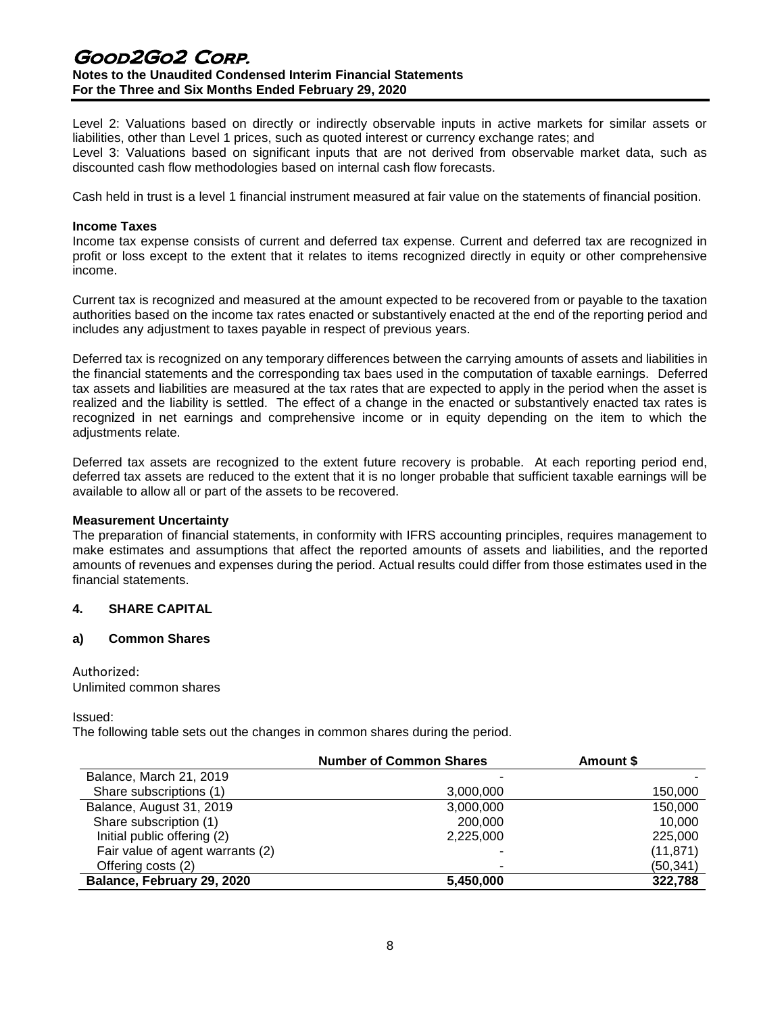# Good2Go2 Corp. **Notes to the Unaudited Condensed Interim Financial Statements For the Three and Six Months Ended February 29, 2020**

Level 2: Valuations based on directly or indirectly observable inputs in active markets for similar assets or liabilities, other than Level 1 prices, such as quoted interest or currency exchange rates; and Level 3: Valuations based on significant inputs that are not derived from observable market data, such as discounted cash flow methodologies based on internal cash flow forecasts.

Cash held in trust is a level 1 financial instrument measured at fair value on the statements of financial position.

#### **Income Taxes**

Income tax expense consists of current and deferred tax expense. Current and deferred tax are recognized in profit or loss except to the extent that it relates to items recognized directly in equity or other comprehensive income.

Current tax is recognized and measured at the amount expected to be recovered from or payable to the taxation authorities based on the income tax rates enacted or substantively enacted at the end of the reporting period and includes any adjustment to taxes payable in respect of previous years.

Deferred tax is recognized on any temporary differences between the carrying amounts of assets and liabilities in the financial statements and the corresponding tax baes used in the computation of taxable earnings. Deferred tax assets and liabilities are measured at the tax rates that are expected to apply in the period when the asset is realized and the liability is settled. The effect of a change in the enacted or substantively enacted tax rates is recognized in net earnings and comprehensive income or in equity depending on the item to which the adjustments relate.

Deferred tax assets are recognized to the extent future recovery is probable. At each reporting period end, deferred tax assets are reduced to the extent that it is no longer probable that sufficient taxable earnings will be available to allow all or part of the assets to be recovered.

#### **Measurement Uncertainty**

The preparation of financial statements, in conformity with IFRS accounting principles, requires management to make estimates and assumptions that affect the reported amounts of assets and liabilities, and the reported amounts of revenues and expenses during the period. Actual results could differ from those estimates used in the financial statements.

#### **4. SHARE CAPITAL**

#### **a) Common Shares**

#### Authorized:

Unlimited common shares

Issued:

The following table sets out the changes in common shares during the period.

|                                  | <b>Number of Common Shares</b> | Amount \$ |
|----------------------------------|--------------------------------|-----------|
| Balance, March 21, 2019          |                                |           |
| Share subscriptions (1)          | 3,000,000                      | 150,000   |
| Balance, August 31, 2019         | 3,000,000                      | 150,000   |
| Share subscription (1)           | 200,000                        | 10.000    |
| Initial public offering (2)      | 2,225,000                      | 225,000   |
| Fair value of agent warrants (2) |                                | (11, 871) |
| Offering costs (2)               | ٠                              | (50,341)  |
| Balance, February 29, 2020       | 5,450,000                      | 322,788   |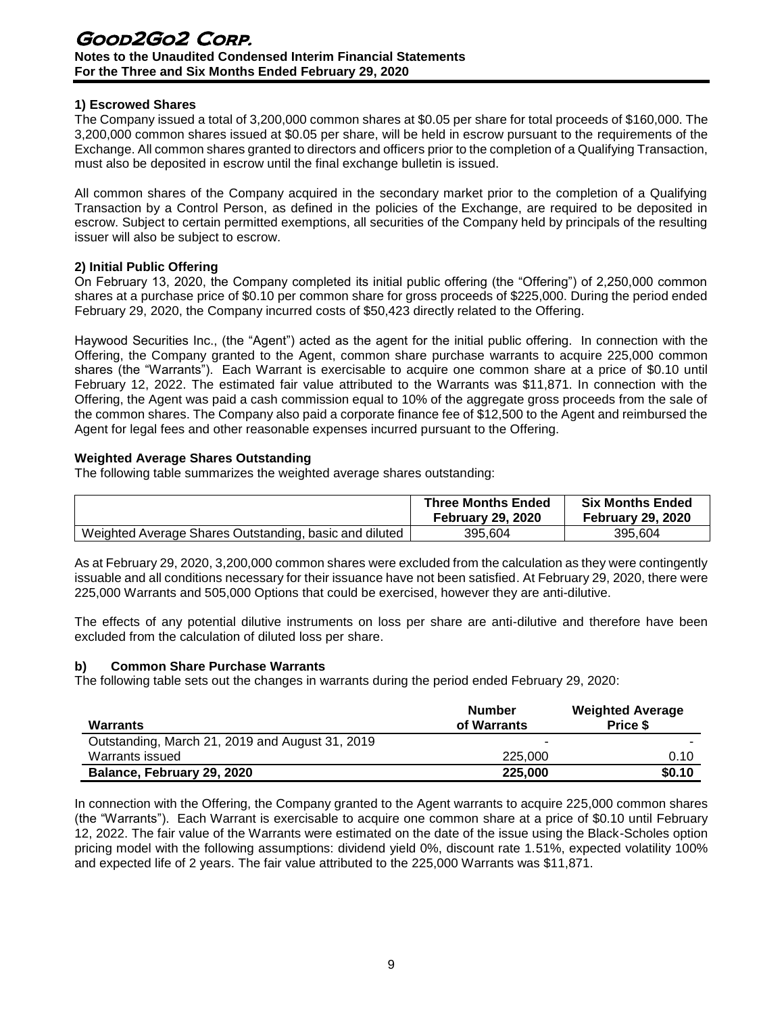## **1) Escrowed Shares**

The Company issued a total of 3,200,000 common shares at \$0.05 per share for total proceeds of \$160,000. The 3,200,000 common shares issued at \$0.05 per share, will be held in escrow pursuant to the requirements of the Exchange. All common shares granted to directors and officers prior to the completion of a Qualifying Transaction, must also be deposited in escrow until the final exchange bulletin is issued.

All common shares of the Company acquired in the secondary market prior to the completion of a Qualifying Transaction by a Control Person, as defined in the policies of the Exchange, are required to be deposited in escrow. Subject to certain permitted exemptions, all securities of the Company held by principals of the resulting issuer will also be subject to escrow.

## **2) Initial Public Offering**

On February 13, 2020, the Company completed its initial public offering (the "Offering") of 2,250,000 common shares at a purchase price of \$0.10 per common share for gross proceeds of \$225,000. During the period ended February 29, 2020, the Company incurred costs of \$50,423 directly related to the Offering.

Haywood Securities Inc., (the "Agent") acted as the agent for the initial public offering. In connection with the Offering, the Company granted to the Agent, common share purchase warrants to acquire 225,000 common shares (the "Warrants"). Each Warrant is exercisable to acquire one common share at a price of \$0.10 until February 12, 2022. The estimated fair value attributed to the Warrants was \$11,871. In connection with the Offering, the Agent was paid a cash commission equal to 10% of the aggregate gross proceeds from the sale of the common shares. The Company also paid a corporate finance fee of \$12,500 to the Agent and reimbursed the Agent for legal fees and other reasonable expenses incurred pursuant to the Offering.

## **Weighted Average Shares Outstanding**

The following table summarizes the weighted average shares outstanding:

|                                                        | <b>Three Months Ended</b><br><b>February 29, 2020</b> | <b>Six Months Ended</b><br><b>February 29, 2020</b> |
|--------------------------------------------------------|-------------------------------------------------------|-----------------------------------------------------|
| Weighted Average Shares Outstanding, basic and diluted | 395.604                                               | 395.604                                             |

As at February 29, 2020, 3,200,000 common shares were excluded from the calculation as they were contingently issuable and all conditions necessary for their issuance have not been satisfied. At February 29, 2020, there were 225,000 Warrants and 505,000 Options that could be exercised, however they are anti-dilutive.

The effects of any potential dilutive instruments on loss per share are anti-dilutive and therefore have been excluded from the calculation of diluted loss per share.

#### **b) Common Share Purchase Warrants**

The following table sets out the changes in warrants during the period ended February 29, 2020:

| <b>Warrants</b>                                 | <b>Number</b><br>of Warrants | <b>Weighted Average</b><br>Price \$ |
|-------------------------------------------------|------------------------------|-------------------------------------|
| Outstanding, March 21, 2019 and August 31, 2019 |                              | -                                   |
| Warrants issued                                 | 225,000                      |                                     |
| Balance, February 29, 2020                      | 225,000                      | \$0.10                              |

In connection with the Offering, the Company granted to the Agent warrants to acquire 225,000 common shares (the "Warrants"). Each Warrant is exercisable to acquire one common share at a price of \$0.10 until February 12, 2022. The fair value of the Warrants were estimated on the date of the issue using the Black-Scholes option pricing model with the following assumptions: dividend yield 0%, discount rate 1.51%, expected volatility 100% and expected life of 2 years. The fair value attributed to the 225,000 Warrants was \$11,871.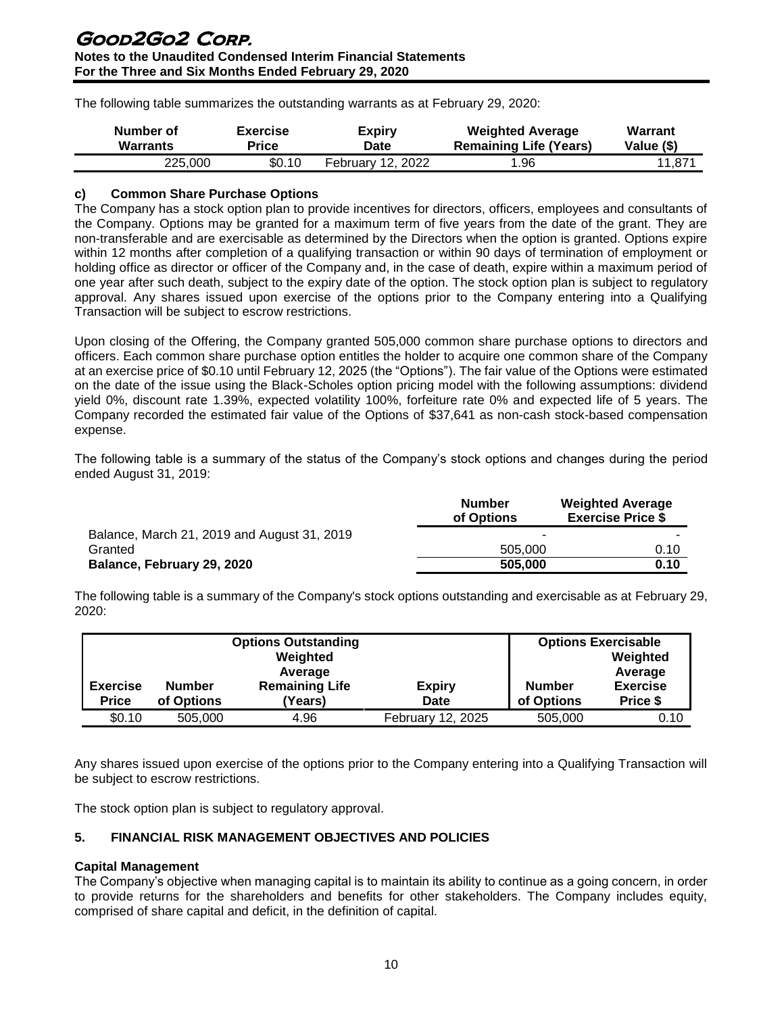The following table summarizes the outstanding warrants as at February 29, 2020:

| Number of | <b>Exercise</b> | Expiry                   | <b>Weighted Average</b>       | <b>Warrant</b> |
|-----------|-----------------|--------------------------|-------------------------------|----------------|
| Warrants  | Price           | Date                     | <b>Remaining Life (Years)</b> | Value (\$)     |
| 225,000   | \$0.10          | <b>February 12, 2022</b> | .96                           | 11,871         |

## **c) Common Share Purchase Options**

The Company has a stock option plan to provide incentives for directors, officers, employees and consultants of the Company. Options may be granted for a maximum term of five years from the date of the grant. They are non-transferable and are exercisable as determined by the Directors when the option is granted. Options expire within 12 months after completion of a qualifying transaction or within 90 days of termination of employment or holding office as director or officer of the Company and, in the case of death, expire within a maximum period of one year after such death, subject to the expiry date of the option. The stock option plan is subject to regulatory approval. Any shares issued upon exercise of the options prior to the Company entering into a Qualifying Transaction will be subject to escrow restrictions.

Upon closing of the Offering, the Company granted 505,000 common share purchase options to directors and officers. Each common share purchase option entitles the holder to acquire one common share of the Company at an exercise price of \$0.10 until February 12, 2025 (the "Options"). The fair value of the Options were estimated on the date of the issue using the Black-Scholes option pricing model with the following assumptions: dividend yield 0%, discount rate 1.39%, expected volatility 100%, forfeiture rate 0% and expected life of 5 years. The Company recorded the estimated fair value of the Options of \$37,641 as non-cash stock-based compensation expense.

The following table is a summary of the status of the Company's stock options and changes during the period ended August 31, 2019:

|                                             | <b>Number</b><br>of Options | <b>Weighted Average</b><br><b>Exercise Price \$</b> |
|---------------------------------------------|-----------------------------|-----------------------------------------------------|
| Balance, March 21, 2019 and August 31, 2019 |                             |                                                     |
| Granted                                     | 505,000                     | 0.10                                                |
| Balance, February 29, 2020                  | 505,000                     | 0.10                                                |

The following table is a summary of the Company's stock options outstanding and exercisable as at February 29, 2020:

|                                 |                             | <b>Options Outstanding</b><br>Weighted<br>Average |                       |                             | <b>Options Exercisable</b><br>Weighted<br>Average |
|---------------------------------|-----------------------------|---------------------------------------------------|-----------------------|-----------------------------|---------------------------------------------------|
| <b>Exercise</b><br><b>Price</b> | <b>Number</b><br>of Options | <b>Remaining Life</b><br>(Years)                  | <b>Expiry</b><br>Date | <b>Number</b><br>of Options | <b>Exercise</b><br>Price \$                       |
| \$0.10                          | 505,000                     | 4.96                                              | February 12, 2025     | 505,000                     | 0.10                                              |

Any shares issued upon exercise of the options prior to the Company entering into a Qualifying Transaction will be subject to escrow restrictions.

The stock option plan is subject to regulatory approval.

# **5. FINANCIAL RISK MANAGEMENT OBJECTIVES AND POLICIES**

#### **Capital Management**

The Company's objective when managing capital is to maintain its ability to continue as a going concern, in order to provide returns for the shareholders and benefits for other stakeholders. The Company includes equity, comprised of share capital and deficit, in the definition of capital.